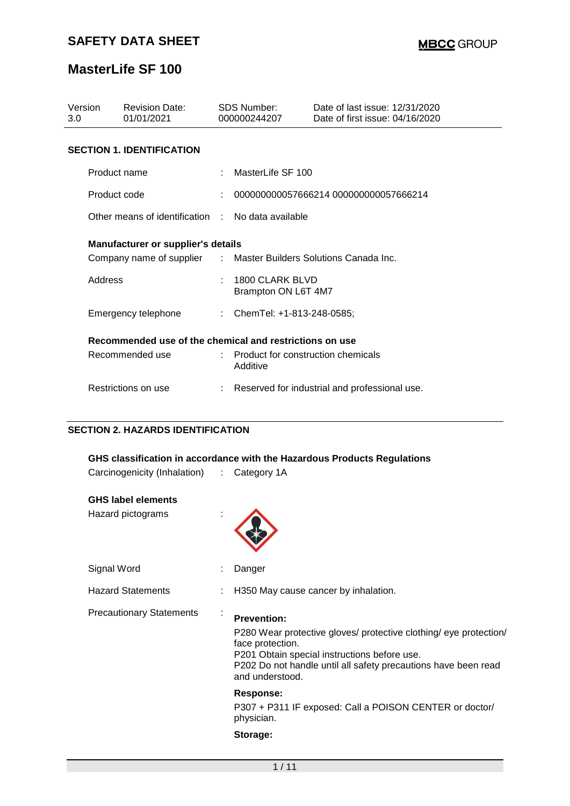| Version<br>3.0                            | <b>Revision Date:</b><br>01/01/2021                     |  | SDS Number:<br>000000244207                                      | Date of last issue: 12/31/2020<br>Date of first issue: 04/16/2020 |  |  |
|-------------------------------------------|---------------------------------------------------------|--|------------------------------------------------------------------|-------------------------------------------------------------------|--|--|
|                                           | <b>SECTION 1. IDENTIFICATION</b>                        |  |                                                                  |                                                                   |  |  |
|                                           | Product name                                            |  | MasterLife SF 100                                                |                                                                   |  |  |
| Product code                              |                                                         |  |                                                                  | 000000000057666214 000000000057666214                             |  |  |
|                                           | Other means of identification : No data available       |  |                                                                  |                                                                   |  |  |
| <b>Manufacturer or supplier's details</b> |                                                         |  |                                                                  |                                                                   |  |  |
|                                           |                                                         |  | Company name of supplier : Master Builders Solutions Canada Inc. |                                                                   |  |  |
| Address                                   |                                                         |  | 1800 CLARK BLVD<br>Brampton ON L6T 4M7                           |                                                                   |  |  |
|                                           | Emergency telephone                                     |  | : ChemTel: +1-813-248-0585;                                      |                                                                   |  |  |
|                                           | Recommended use of the chemical and restrictions on use |  |                                                                  |                                                                   |  |  |
|                                           | Recommended use                                         |  | $\therefore$ Product for construction chemicals<br>Additive      |                                                                   |  |  |
|                                           | Restrictions on use                                     |  |                                                                  | Reserved for industrial and professional use.                     |  |  |

### **SECTION 2. HAZARDS IDENTIFICATION**

| GHS classification in accordance with the Hazardous Products Regulations |    |                                                                                                                                                                                                                                                  |  |  |  |  |  |  |
|--------------------------------------------------------------------------|----|--------------------------------------------------------------------------------------------------------------------------------------------------------------------------------------------------------------------------------------------------|--|--|--|--|--|--|
| Carcinogenicity (Inhalation)                                             |    | : Category 1A                                                                                                                                                                                                                                    |  |  |  |  |  |  |
| <b>GHS label elements</b>                                                |    |                                                                                                                                                                                                                                                  |  |  |  |  |  |  |
| Hazard pictograms                                                        |    |                                                                                                                                                                                                                                                  |  |  |  |  |  |  |
| Signal Word                                                              |    | Danger                                                                                                                                                                                                                                           |  |  |  |  |  |  |
| <b>Hazard Statements</b>                                                 |    | H350 May cause cancer by inhalation.                                                                                                                                                                                                             |  |  |  |  |  |  |
| <b>Precautionary Statements</b>                                          | ä, | <b>Prevention:</b><br>P280 Wear protective gloves/ protective clothing/ eye protection/<br>face protection.<br>P201 Obtain special instructions before use.<br>P202 Do not handle until all safety precautions have been read<br>and understood. |  |  |  |  |  |  |
|                                                                          |    | <b>Response:</b><br>P307 + P311 IF exposed: Call a POISON CENTER or doctor/<br>physician.<br>Storage:                                                                                                                                            |  |  |  |  |  |  |
|                                                                          |    |                                                                                                                                                                                                                                                  |  |  |  |  |  |  |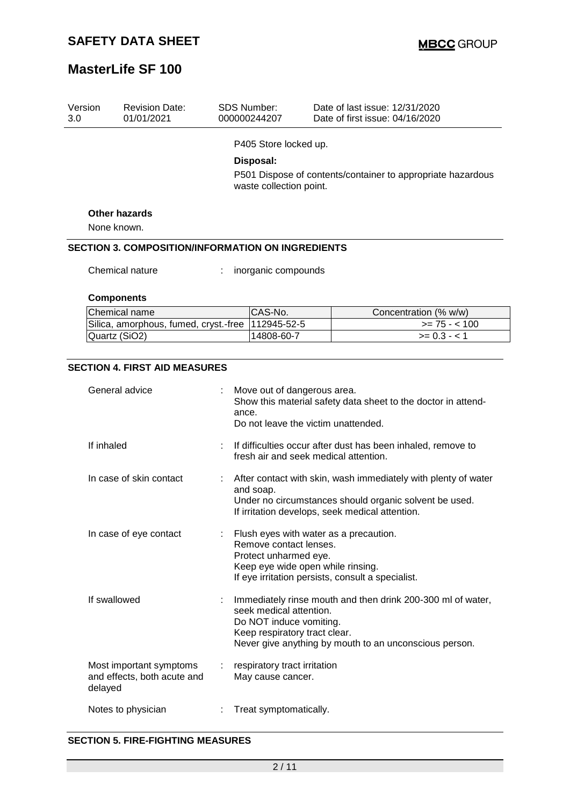| Version<br>3.0 | <b>Revision Date:</b><br>01/01/2021                      |       | <b>SDS Number:</b><br>000000244207                                                                                       | Date of last issue: 12/31/2020<br>Date of first issue: 04/16/2020                                                                                                                                                                                                               |
|----------------|----------------------------------------------------------|-------|--------------------------------------------------------------------------------------------------------------------------|---------------------------------------------------------------------------------------------------------------------------------------------------------------------------------------------------------------------------------------------------------------------------------|
|                |                                                          |       | P405 Store locked up.                                                                                                    |                                                                                                                                                                                                                                                                                 |
|                |                                                          |       | Disposal:                                                                                                                |                                                                                                                                                                                                                                                                                 |
|                |                                                          |       |                                                                                                                          | P501 Dispose of contents/container to appropriate hazardous                                                                                                                                                                                                                     |
|                |                                                          |       | waste collection point.                                                                                                  |                                                                                                                                                                                                                                                                                 |
|                | <b>Other hazards</b>                                     |       |                                                                                                                          |                                                                                                                                                                                                                                                                                 |
|                | None known.                                              |       |                                                                                                                          |                                                                                                                                                                                                                                                                                 |
|                | <b>SECTION 3. COMPOSITION/INFORMATION ON INGREDIENTS</b> |       |                                                                                                                          |                                                                                                                                                                                                                                                                                 |
|                | Chemical nature                                          |       | inorganic compounds                                                                                                      |                                                                                                                                                                                                                                                                                 |
|                | <b>Components</b>                                        |       |                                                                                                                          |                                                                                                                                                                                                                                                                                 |
|                | Chemical name                                            |       | CAS-No.                                                                                                                  | Concentration (% w/w)                                                                                                                                                                                                                                                           |
|                | Silica, amorphous, fumed, cryst.-free                    |       | 112945-52-5                                                                                                              | $>= 75 - 100$                                                                                                                                                                                                                                                                   |
|                | Quartz (SiO2)                                            |       | 14808-60-7                                                                                                               | $>= 0.3 - 1$                                                                                                                                                                                                                                                                    |
| If inhaled     | General advice<br>In case of skin contact                | ance. | Move out of dangerous area.                                                                                              | Show this material safety data sheet to the doctor in attend-<br>Do not leave the victim unattended.<br>If difficulties occur after dust has been inhaled, remove to<br>fresh air and seek medical attention.<br>After contact with skin, wash immediately with plenty of water |
|                | In case of eye contact                                   |       | and soap.<br>Remove contact lenses.<br>Protect unharmed eye.                                                             | Under no circumstances should organic solvent be used.<br>If irritation develops, seek medical attention.<br>Flush eyes with water as a precaution.                                                                                                                             |
|                | If swallowed                                             | ÷     | Keep eye wide open while rinsing.<br>seek medical attention.<br>Do NOT induce vomiting.<br>Keep respiratory tract clear. | If eye irritation persists, consult a specialist.<br>Immediately rinse mouth and then drink 200-300 ml of water,<br>Never give anything by mouth to an unconscious person.                                                                                                      |
| delayed        | Most important symptoms<br>and effects, both acute and   |       | respiratory tract irritation<br>May cause cancer.                                                                        |                                                                                                                                                                                                                                                                                 |
|                | Notes to physician                                       |       | Treat symptomatically.                                                                                                   |                                                                                                                                                                                                                                                                                 |

### **SECTION 5. FIRE-FIGHTING MEASURES**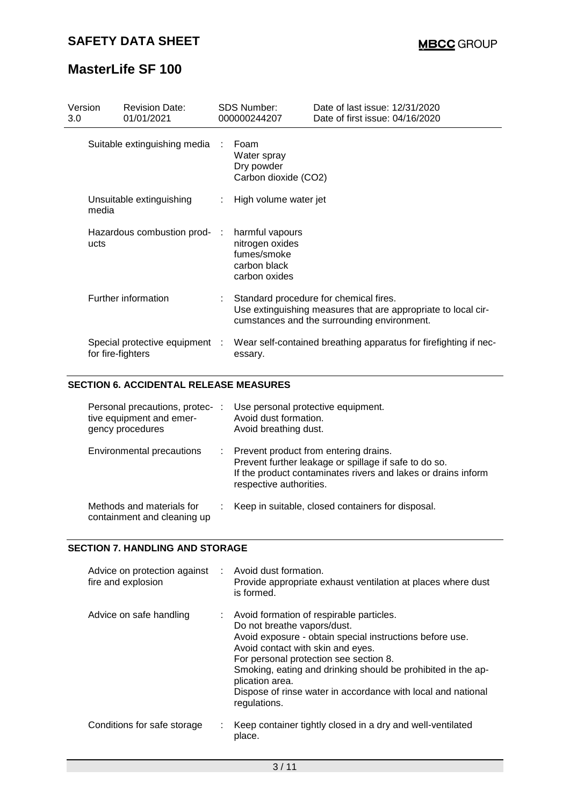| Version<br>3.0 |                   | <b>Revision Date:</b><br>01/01/2021 |      | <b>SDS Number:</b><br>000000244207                                                 | Date of last issue: 12/31/2020<br>Date of first issue: 04/16/2020                                                                                      |
|----------------|-------------------|-------------------------------------|------|------------------------------------------------------------------------------------|--------------------------------------------------------------------------------------------------------------------------------------------------------|
|                |                   | Suitable extinguishing media        | - 11 | Foam<br>Water spray<br>Dry powder<br>Carbon dioxide (CO2)                          |                                                                                                                                                        |
|                | media             | Unsuitable extinguishing            | ÷    | High volume water jet                                                              |                                                                                                                                                        |
|                | ucts              | Hazardous combustion prod- :        |      | harmful vapours<br>nitrogen oxides<br>fumes/smoke<br>carbon black<br>carbon oxides |                                                                                                                                                        |
|                |                   | Further information                 |      |                                                                                    | Standard procedure for chemical fires.<br>Use extinguishing measures that are appropriate to local cir-<br>cumstances and the surrounding environment. |
|                | for fire-fighters | Special protective equipment :      |      | essary.                                                                            | Wear self-contained breathing apparatus for firefighting if nec-                                                                                       |

### **SECTION 6. ACCIDENTAL RELEASE MEASURES**

| Personal precautions, protec-<br>tive equipment and emer-<br>gency procedures | ÷ | Use personal protective equipment.<br>Avoid dust formation.<br>Avoid breathing dust.                                                                                                       |
|-------------------------------------------------------------------------------|---|--------------------------------------------------------------------------------------------------------------------------------------------------------------------------------------------|
| Environmental precautions                                                     |   | Prevent product from entering drains.<br>Prevent further leakage or spillage if safe to do so.<br>If the product contaminates rivers and lakes or drains inform<br>respective authorities. |
| Methods and materials for<br>containment and cleaning up                      |   | Keep in suitable, closed containers for disposal.                                                                                                                                          |

#### **SECTION 7. HANDLING AND STORAGE**

| Advice on protection against : Avoid dust formation.<br>fire and explosion | Provide appropriate exhaust ventilation at places where dust<br>is formed.                                                                                                                                                                                                                                                                                                              |
|----------------------------------------------------------------------------|-----------------------------------------------------------------------------------------------------------------------------------------------------------------------------------------------------------------------------------------------------------------------------------------------------------------------------------------------------------------------------------------|
| Advice on safe handling                                                    | : Avoid formation of respirable particles.<br>Do not breathe vapors/dust.<br>Avoid exposure - obtain special instructions before use.<br>Avoid contact with skin and eyes.<br>For personal protection see section 8.<br>Smoking, eating and drinking should be prohibited in the ap-<br>plication area.<br>Dispose of rinse water in accordance with local and national<br>regulations. |
| Conditions for safe storage                                                | Keep container tightly closed in a dry and well-ventilated<br>place.                                                                                                                                                                                                                                                                                                                    |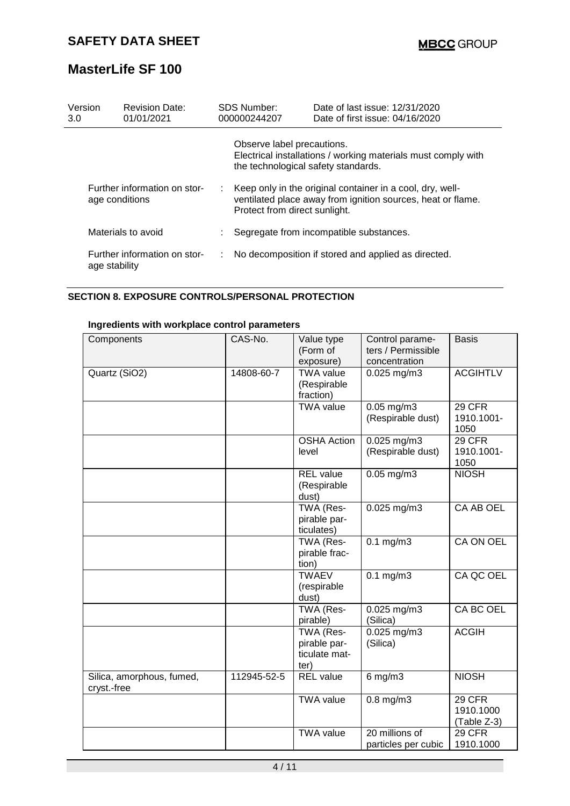| Version<br>3.0                                 | <b>Revision Date:</b><br>01/01/2021           |                                         | <b>SDS Number:</b><br>000000244207 | Date of last issue: 12/31/2020<br>Date of first issue: 04/16/2020                                                        |
|------------------------------------------------|-----------------------------------------------|-----------------------------------------|------------------------------------|--------------------------------------------------------------------------------------------------------------------------|
|                                                |                                               |                                         | Observe label precautions.         | Electrical installations / working materials must comply with<br>the technological safety standards.                     |
| Further information on stor-<br>age conditions |                                               | ÷.                                      | Protect from direct sunlight.      | Keep only in the original container in a cool, dry, well-<br>ventilated place away from ignition sources, heat or flame. |
|                                                | Materials to avoid                            | Segregate from incompatible substances. |                                    |                                                                                                                          |
|                                                | Further information on stor-<br>age stability | ÷                                       |                                    | No decomposition if stored and applied as directed.                                                                      |

### **SECTION 8. EXPOSURE CONTROLS/PERSONAL PROTECTION**

### **Ingredients with workplace control parameters**

| Components                               | CAS-No.     | Value type<br>(Form of<br>exposure)                | Control parame-<br>ters / Permissible<br>concentration | <b>Basis</b>                       |
|------------------------------------------|-------------|----------------------------------------------------|--------------------------------------------------------|------------------------------------|
| Quartz (SiO2)                            | 14808-60-7  | <b>TWA value</b><br>(Respirable<br>fraction)       | $0.025$ mg/m3                                          | <b>ACGIHTLV</b>                    |
|                                          |             | <b>TWA value</b>                                   | $0.05$ mg/m $3$<br>(Respirable dust)                   | 29 CFR<br>1910.1001-<br>1050       |
|                                          |             | <b>OSHA Action</b><br>level                        | 0.025 mg/m3<br>(Respirable dust)                       | 29 CFR<br>1910.1001-<br>1050       |
|                                          |             | <b>REL</b> value<br>(Respirable<br>dust)           | $0.05$ mg/m $3$                                        | <b>NIOSH</b>                       |
|                                          |             | TWA (Res-<br>pirable par-<br>ticulates)            | $0.025$ mg/m3                                          | CA AB OEL                          |
|                                          |             | TWA (Res-<br>pirable frac-<br>tion)                | $0.1$ mg/m3                                            | <b>CA ON OEL</b>                   |
|                                          |             | <b>TWAEV</b><br>(respirable<br>dust)               | $0.1$ mg/m3                                            | CA QC OEL                          |
|                                          |             | TWA (Res-<br>pirable)                              | 0.025 mg/m3<br>(Silica)                                | CA BC OEL                          |
|                                          |             | TWA (Res-<br>pirable par-<br>ticulate mat-<br>ter) | $0.025$ mg/m $3$<br>(Silica)                           | <b>ACGIH</b>                       |
| Silica, amorphous, fumed,<br>cryst.-free | 112945-52-5 | <b>REL</b> value                                   | $6$ mg/m $3$                                           | <b>NIOSH</b>                       |
|                                          |             | <b>TWA value</b>                                   | $0.8$ mg/m $3$                                         | 29 CFR<br>1910.1000<br>(Table Z-3) |
|                                          |             | <b>TWA value</b>                                   | 20 millions of<br>particles per cubic                  | 29 CFR<br>1910.1000                |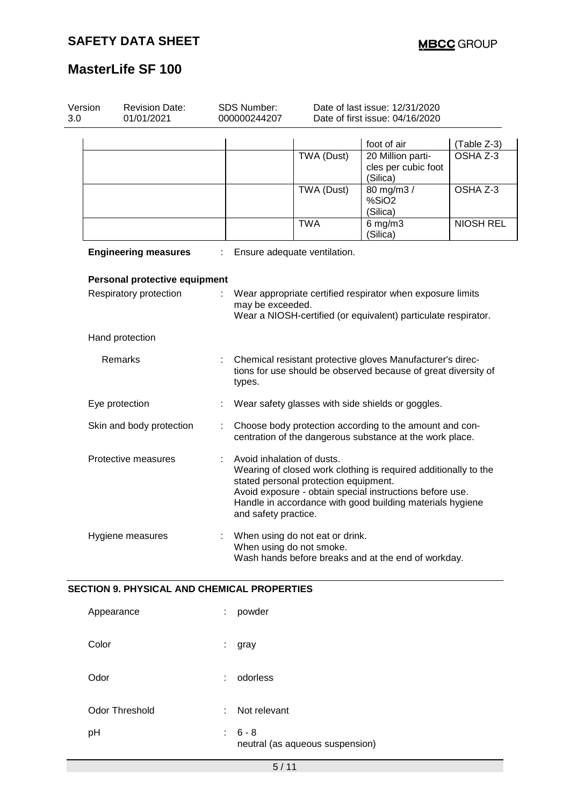| Version<br><b>Revision Date:</b><br>3.0<br>01/01/2021 |                               |   | SDS Number:<br>000000244207                        | Date of last issue: 12/31/2020<br>Date of first issue: 04/16/2020 |                                                                                                                                                                                          |                  |  |
|-------------------------------------------------------|-------------------------------|---|----------------------------------------------------|-------------------------------------------------------------------|------------------------------------------------------------------------------------------------------------------------------------------------------------------------------------------|------------------|--|
|                                                       |                               |   |                                                    |                                                                   | foot of air                                                                                                                                                                              | (Table Z-3)      |  |
|                                                       |                               |   |                                                    | <b>TWA (Dust)</b>                                                 | 20 Million parti-<br>cles per cubic foot<br>(Silica)                                                                                                                                     | OSHA Z-3         |  |
|                                                       |                               |   |                                                    | <b>TWA (Dust)</b>                                                 | 80 mg/m3/<br>%SiO <sub>2</sub><br>(Silica)                                                                                                                                               | OSHA Z-3         |  |
|                                                       |                               |   |                                                    | <b>TWA</b>                                                        | $6$ mg/m $3$<br>(Silica)                                                                                                                                                                 | <b>NIOSH REL</b> |  |
|                                                       | <b>Engineering measures</b>   |   |                                                    | Ensure adequate ventilation.                                      |                                                                                                                                                                                          |                  |  |
|                                                       | Personal protective equipment |   |                                                    |                                                                   |                                                                                                                                                                                          |                  |  |
|                                                       | Respiratory protection        |   | may be exceeded.                                   |                                                                   | Wear appropriate certified respirator when exposure limits<br>Wear a NIOSH-certified (or equivalent) particulate respirator.                                                             |                  |  |
|                                                       | Hand protection               |   |                                                    |                                                                   |                                                                                                                                                                                          |                  |  |
|                                                       | Remarks                       | ÷ | types.                                             |                                                                   | Chemical resistant protective gloves Manufacturer's direc-<br>tions for use should be observed because of great diversity of                                                             |                  |  |
|                                                       | Eye protection                |   |                                                    |                                                                   | Wear safety glasses with side shields or goggles.                                                                                                                                        |                  |  |
|                                                       | Skin and body protection      | ÷ |                                                    |                                                                   | Choose body protection according to the amount and con-<br>centration of the dangerous substance at the work place.                                                                      |                  |  |
|                                                       | Protective measures           |   | Avoid inhalation of dusts.<br>and safety practice. | stated personal protection equipment.                             | Wearing of closed work clothing is required additionally to the<br>Avoid exposure - obtain special instructions before use.<br>Handle in accordance with good building materials hygiene |                  |  |
|                                                       | Hygiene measures              |   |                                                    | When using do not eat or drink.<br>When using do not smoke.       | Wash hands before breaks and at the end of workday.                                                                                                                                      |                  |  |

### **SECTION 9. PHYSICAL AND CHEMICAL PROPERTIES**

| Appearance            | ÷  | powder                                     |
|-----------------------|----|--------------------------------------------|
| Color                 | ÷. | gray                                       |
| Odor                  | ٠  | odorless                                   |
| <b>Odor Threshold</b> | ÷  | Not relevant                               |
| pH                    | ÷. | $6 - 8$<br>neutral (as aqueous suspension) |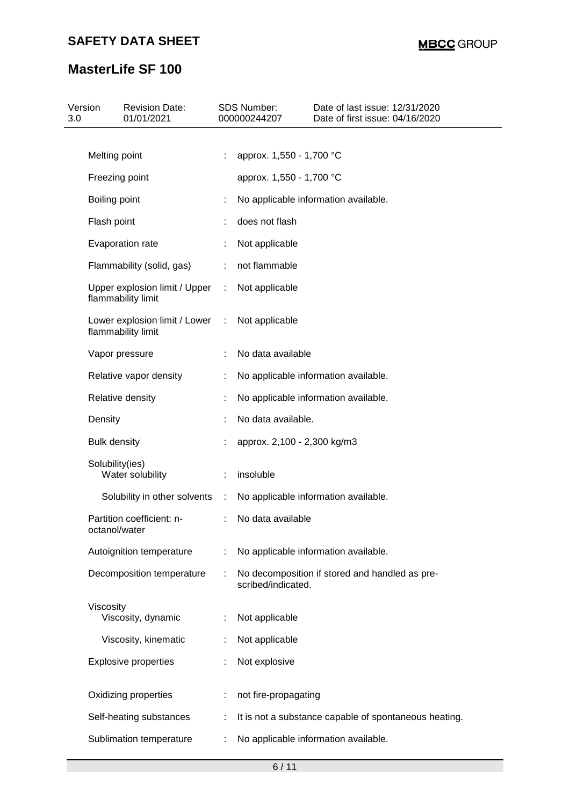| Version<br>3.0 |                     | <b>Revision Date:</b><br>01/01/2021                   |        | <b>SDS Number:</b><br>000000244207 | Date of last issue: 12/31/2020<br>Date of first issue: 04/16/2020 |
|----------------|---------------------|-------------------------------------------------------|--------|------------------------------------|-------------------------------------------------------------------|
|                |                     |                                                       |        |                                    |                                                                   |
|                | Melting point       |                                                       |        | approx. 1,550 - 1,700 °C           |                                                                   |
|                | Freezing point      |                                                       |        | approx. 1,550 - 1,700 °C           |                                                                   |
|                | Boiling point       |                                                       | t      |                                    | No applicable information available.                              |
|                | Flash point         |                                                       |        | does not flash                     |                                                                   |
|                |                     | Evaporation rate                                      |        | Not applicable                     |                                                                   |
|                |                     | Flammability (solid, gas)                             | ÷      | not flammable                      |                                                                   |
|                |                     | Upper explosion limit / Upper<br>flammability limit   | $\sim$ | Not applicable                     |                                                                   |
|                |                     | Lower explosion limit / Lower :<br>flammability limit |        | Not applicable                     |                                                                   |
|                |                     | Vapor pressure                                        |        | No data available                  |                                                                   |
|                |                     | Relative vapor density                                |        |                                    | No applicable information available.                              |
|                |                     | Relative density                                      |        |                                    | No applicable information available.                              |
|                | Density             |                                                       |        | No data available.                 |                                                                   |
|                | <b>Bulk density</b> |                                                       |        | approx. 2,100 - 2,300 kg/m3        |                                                                   |
|                | Solubility(ies)     | Water solubility                                      | ÷      | insoluble                          |                                                                   |
|                |                     | Solubility in other solvents                          | ÷      |                                    | No applicable information available.                              |
|                | octanol/water       | Partition coefficient: n-                             |        | No data available                  |                                                                   |
|                |                     | Autoignition temperature                              | ÷      |                                    | No applicable information available.                              |
|                |                     | Decomposition temperature                             |        | scribed/indicated.                 | No decomposition if stored and handled as pre-                    |
|                | Viscosity           | Viscosity, dynamic                                    | ÷      | Not applicable                     |                                                                   |
|                |                     | Viscosity, kinematic                                  |        | Not applicable                     |                                                                   |
|                |                     | <b>Explosive properties</b>                           |        | Not explosive                      |                                                                   |
|                |                     | Oxidizing properties                                  |        | not fire-propagating               |                                                                   |
|                |                     | Self-heating substances                               |        |                                    | It is not a substance capable of spontaneous heating.             |
|                |                     | Sublimation temperature                               |        |                                    | No applicable information available.                              |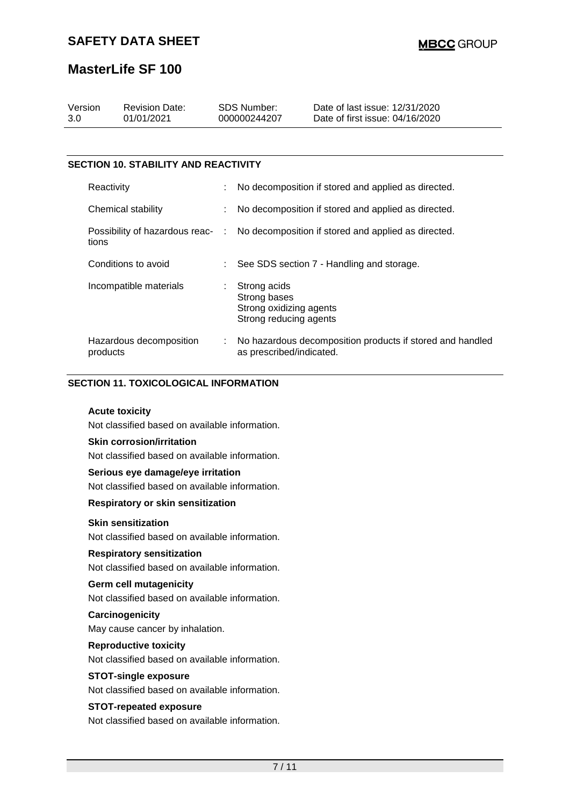| Version | <b>Revision Date:</b> | SDS Number:  | Date of last issue: 12/31/2020  |  |
|---------|-----------------------|--------------|---------------------------------|--|
| 3.0     | 01/01/2021            | 000000244207 | Date of first issue: 04/16/2020 |  |
|         |                       |              |                                 |  |

### **SECTION 10. STABILITY AND REACTIVITY**

| Reactivity                          | ÷. | No decomposition if stored and applied as directed.                                   |
|-------------------------------------|----|---------------------------------------------------------------------------------------|
| Chemical stability                  |    | No decomposition if stored and applied as directed.                                   |
| tions                               |    | Possibility of hazardous reac- : No decomposition if stored and applied as directed.  |
| Conditions to avoid                 |    | : See SDS section 7 - Handling and storage.                                           |
| Incompatible materials              |    | Strong acids<br>Strong bases<br>Strong oxidizing agents<br>Strong reducing agents     |
| Hazardous decomposition<br>products |    | No hazardous decomposition products if stored and handled<br>as prescribed/indicated. |

### **SECTION 11. TOXICOLOGICAL INFORMATION**

#### **Acute toxicity**

Not classified based on available information.

#### **Skin corrosion/irritation**

Not classified based on available information.

### **Serious eye damage/eye irritation**

Not classified based on available information.

### **Respiratory or skin sensitization**

### **Skin sensitization**

Not classified based on available information.

#### **Respiratory sensitization**

Not classified based on available information.

### **Germ cell mutagenicity**

Not classified based on available information.

#### **Carcinogenicity**

May cause cancer by inhalation.

#### **Reproductive toxicity**

Not classified based on available information.

#### **STOT-single exposure**

Not classified based on available information.

#### **STOT-repeated exposure**

Not classified based on available information.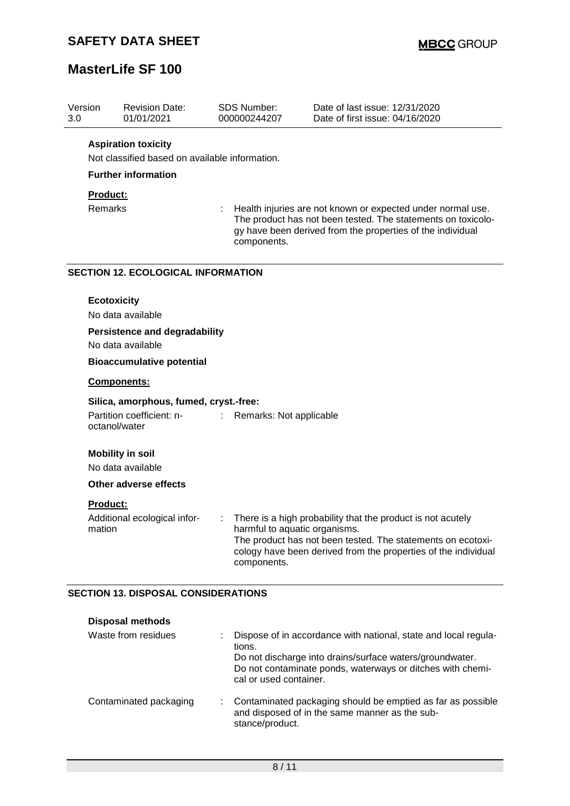| Version<br>3.0 | <b>Revision Date:</b><br>01/01/2021                                                  | <b>SDS Number:</b><br>000000244207 | Date of last issue: 12/31/2020<br>Date of first issue: 04/16/2020                                                                                                                                                             |
|----------------|--------------------------------------------------------------------------------------|------------------------------------|-------------------------------------------------------------------------------------------------------------------------------------------------------------------------------------------------------------------------------|
|                | <b>Aspiration toxicity</b>                                                           |                                    |                                                                                                                                                                                                                               |
|                | Not classified based on available information.                                       |                                    |                                                                                                                                                                                                                               |
|                | <b>Further information</b>                                                           |                                    |                                                                                                                                                                                                                               |
|                | Product:                                                                             |                                    |                                                                                                                                                                                                                               |
|                | Remarks                                                                              | components.                        | Health injuries are not known or expected under normal use.<br>The product has not been tested. The statements on toxicolo-<br>gy have been derived from the properties of the individual                                     |
|                | <b>SECTION 12. ECOLOGICAL INFORMATION</b>                                            |                                    |                                                                                                                                                                                                                               |
|                | <b>Ecotoxicity</b><br>No data available                                              |                                    |                                                                                                                                                                                                                               |
|                | <b>Persistence and degradability</b><br>No data available                            |                                    |                                                                                                                                                                                                                               |
|                | <b>Bioaccumulative potential</b>                                                     |                                    |                                                                                                                                                                                                                               |
|                | Components:                                                                          |                                    |                                                                                                                                                                                                                               |
|                | Silica, amorphous, fumed, cryst.-free:<br>Partition coefficient: n-<br>octanol/water | Remarks: Not applicable<br>÷       |                                                                                                                                                                                                                               |
|                | <b>Mobility in soil</b><br>No data available                                         |                                    |                                                                                                                                                                                                                               |
|                | <b>Other adverse effects</b>                                                         |                                    |                                                                                                                                                                                                                               |
| mation         | <b>Product:</b><br>Additional ecological infor-                                      |                                    | There is a high probability that the product is not acutely<br>harmful to aquatic organisms.<br>The product has not been tested. The statements on ecotoxi-<br>cology have been derived from the properties of the individual |
|                |                                                                                      | components.                        |                                                                                                                                                                                                                               |
|                | <b>SECTION 13. DISPOSAL CONSIDERATIONS</b>                                           |                                    |                                                                                                                                                                                                                               |
|                | <b>Disposal methods</b>                                                              |                                    |                                                                                                                                                                                                                               |
|                | Waste from residues                                                                  | tions.<br>cal or used container.   | Dispose of in accordance with national, state and local regula-<br>Do not discharge into drains/surface waters/groundwater.<br>Do not contaminate ponds, waterways or ditches with chemi-                                     |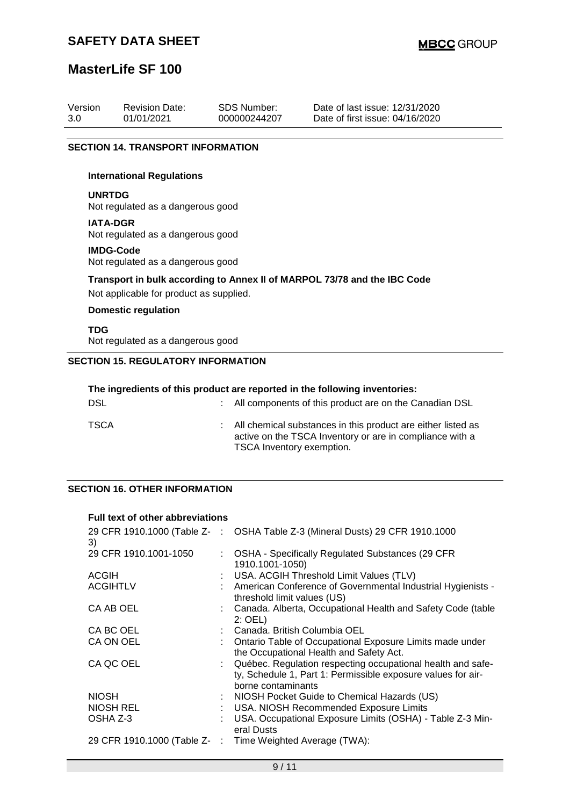### **SAFETY DATA SHEET**

### **MasterLife SF 100**

| Version | <b>Revision Date:</b> | SDS Number:  | Date of last issue: 12/31/2020  |
|---------|-----------------------|--------------|---------------------------------|
| 3.0     | 01/01/2021            | 000000244207 | Date of first issue: 04/16/2020 |
|         |                       |              |                                 |

#### **SECTION 14. TRANSPORT INFORMATION**

#### **International Regulations**

#### **UNRTDG**

Not regulated as a dangerous good

#### **IATA-DGR**

Not regulated as a dangerous good

#### **IMDG-Code**

Not regulated as a dangerous good

#### **Transport in bulk according to Annex II of MARPOL 73/78 and the IBC Code**

Not applicable for product as supplied.

### **Domestic regulation**

**TDG** Not regulated as a dangerous good

### **SECTION 15. REGULATORY INFORMATION**

| The ingredients of this product are reported in the following inventories: |  |                                                                                                                                                         |  |
|----------------------------------------------------------------------------|--|---------------------------------------------------------------------------------------------------------------------------------------------------------|--|
| DSL                                                                        |  | : All components of this product are on the Canadian DSL                                                                                                |  |
| TSCA                                                                       |  | : All chemical substances in this product are either listed as<br>active on the TSCA Inventory or are in compliance with a<br>TSCA Inventory exemption. |  |

#### **SECTION 16. OTHER INFORMATION**

#### **Full text of other abbreviations**

| 3)                    | 29 CFR 1910.1000 (Table Z- : OSHA Table Z-3 (Mineral Dusts) 29 CFR 1910.1000                                                                        |
|-----------------------|-----------------------------------------------------------------------------------------------------------------------------------------------------|
| 29 CFR 1910.1001-1050 | : OSHA - Specifically Regulated Substances (29 CFR)<br>1910.1001-1050)                                                                              |
| <b>ACGIH</b>          | : USA. ACGIH Threshold Limit Values (TLV)                                                                                                           |
| <b>ACGIHTLV</b>       | : American Conference of Governmental Industrial Hygienists -<br>threshold limit values (US)                                                        |
| CA AB OEL             | : Canada. Alberta, Occupational Health and Safety Code (table<br>2: OEL)                                                                            |
| CA BC OEL             | : Canada, British Columbia OEL                                                                                                                      |
| CA ON OEL             | Ontario Table of Occupational Exposure Limits made under<br>the Occupational Health and Safety Act.                                                 |
| CA QC OEL             | : Québec. Regulation respecting occupational health and safe-<br>ty, Schedule 1, Part 1: Permissible exposure values for air-<br>borne contaminants |
| <b>NIOSH</b>          | : NIOSH Pocket Guide to Chemical Hazards (US)                                                                                                       |
| NIOSH REL             | : USA. NIOSH Recommended Exposure Limits                                                                                                            |
| OSHA Z-3              | USA. Occupational Exposure Limits (OSHA) - Table Z-3 Min-<br>eral Dusts                                                                             |
|                       | 29 CFR 1910.1000 (Table Z- : Time Weighted Average (TWA):                                                                                           |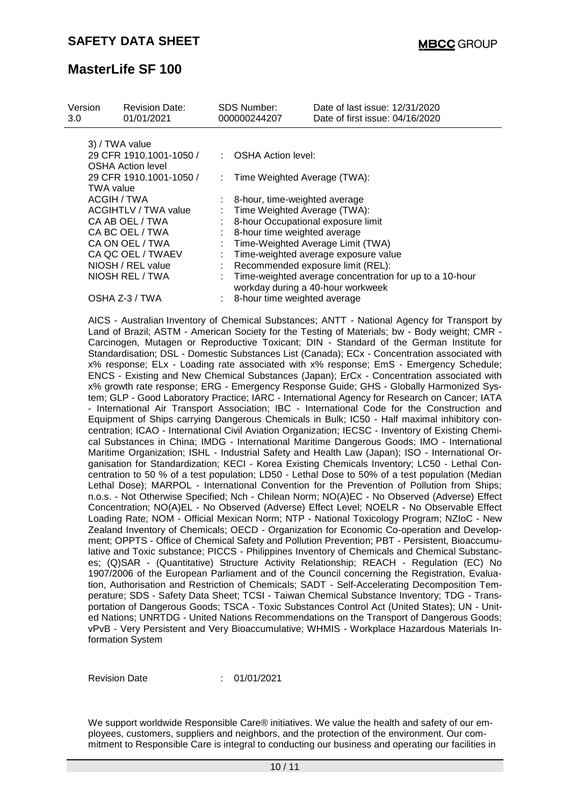| Version<br>3.0   | <b>Revision Date:</b><br>01/01/2021 |   | SDS Number:<br>000000244207   | Date of last issue: 12/31/2020<br>Date of first issue: 04/16/2020                                                                                                                                                                                                                                                                                                                                                                                                                                                                                                                                                                                                                                                                                                                                                                                                                                                                                                                                                                                                                                                                                                                                                                                                                                                                                                                                                                                                                                                                                                                                                                                                                                                                                                                                                                                                                                                                                                                                                                                                                                                                                                                                                                                                              |
|------------------|-------------------------------------|---|-------------------------------|--------------------------------------------------------------------------------------------------------------------------------------------------------------------------------------------------------------------------------------------------------------------------------------------------------------------------------------------------------------------------------------------------------------------------------------------------------------------------------------------------------------------------------------------------------------------------------------------------------------------------------------------------------------------------------------------------------------------------------------------------------------------------------------------------------------------------------------------------------------------------------------------------------------------------------------------------------------------------------------------------------------------------------------------------------------------------------------------------------------------------------------------------------------------------------------------------------------------------------------------------------------------------------------------------------------------------------------------------------------------------------------------------------------------------------------------------------------------------------------------------------------------------------------------------------------------------------------------------------------------------------------------------------------------------------------------------------------------------------------------------------------------------------------------------------------------------------------------------------------------------------------------------------------------------------------------------------------------------------------------------------------------------------------------------------------------------------------------------------------------------------------------------------------------------------------------------------------------------------------------------------------------------------|
|                  | 3) / TWA value                      |   |                               |                                                                                                                                                                                                                                                                                                                                                                                                                                                                                                                                                                                                                                                                                                                                                                                                                                                                                                                                                                                                                                                                                                                                                                                                                                                                                                                                                                                                                                                                                                                                                                                                                                                                                                                                                                                                                                                                                                                                                                                                                                                                                                                                                                                                                                                                                |
|                  | 29 CFR 1910.1001-1050 /             | ÷ | <b>OSHA Action level:</b>     |                                                                                                                                                                                                                                                                                                                                                                                                                                                                                                                                                                                                                                                                                                                                                                                                                                                                                                                                                                                                                                                                                                                                                                                                                                                                                                                                                                                                                                                                                                                                                                                                                                                                                                                                                                                                                                                                                                                                                                                                                                                                                                                                                                                                                                                                                |
|                  | <b>OSHA Action level</b>            |   |                               |                                                                                                                                                                                                                                                                                                                                                                                                                                                                                                                                                                                                                                                                                                                                                                                                                                                                                                                                                                                                                                                                                                                                                                                                                                                                                                                                                                                                                                                                                                                                                                                                                                                                                                                                                                                                                                                                                                                                                                                                                                                                                                                                                                                                                                                                                |
|                  | 29 CFR 1910.1001-1050 /             |   |                               | Time Weighted Average (TWA):                                                                                                                                                                                                                                                                                                                                                                                                                                                                                                                                                                                                                                                                                                                                                                                                                                                                                                                                                                                                                                                                                                                                                                                                                                                                                                                                                                                                                                                                                                                                                                                                                                                                                                                                                                                                                                                                                                                                                                                                                                                                                                                                                                                                                                                   |
| <b>TWA value</b> |                                     |   |                               |                                                                                                                                                                                                                                                                                                                                                                                                                                                                                                                                                                                                                                                                                                                                                                                                                                                                                                                                                                                                                                                                                                                                                                                                                                                                                                                                                                                                                                                                                                                                                                                                                                                                                                                                                                                                                                                                                                                                                                                                                                                                                                                                                                                                                                                                                |
|                  | <b>ACGIH / TWA</b>                  |   | 8-hour, time-weighted average |                                                                                                                                                                                                                                                                                                                                                                                                                                                                                                                                                                                                                                                                                                                                                                                                                                                                                                                                                                                                                                                                                                                                                                                                                                                                                                                                                                                                                                                                                                                                                                                                                                                                                                                                                                                                                                                                                                                                                                                                                                                                                                                                                                                                                                                                                |
|                  | <b>ACGIHTLV / TWA value</b>         |   |                               | Time Weighted Average (TWA):                                                                                                                                                                                                                                                                                                                                                                                                                                                                                                                                                                                                                                                                                                                                                                                                                                                                                                                                                                                                                                                                                                                                                                                                                                                                                                                                                                                                                                                                                                                                                                                                                                                                                                                                                                                                                                                                                                                                                                                                                                                                                                                                                                                                                                                   |
|                  | CA AB OEL / TWA                     |   |                               | 8-hour Occupational exposure limit                                                                                                                                                                                                                                                                                                                                                                                                                                                                                                                                                                                                                                                                                                                                                                                                                                                                                                                                                                                                                                                                                                                                                                                                                                                                                                                                                                                                                                                                                                                                                                                                                                                                                                                                                                                                                                                                                                                                                                                                                                                                                                                                                                                                                                             |
|                  | CA BC OEL / TWA                     |   | 8-hour time weighted average  |                                                                                                                                                                                                                                                                                                                                                                                                                                                                                                                                                                                                                                                                                                                                                                                                                                                                                                                                                                                                                                                                                                                                                                                                                                                                                                                                                                                                                                                                                                                                                                                                                                                                                                                                                                                                                                                                                                                                                                                                                                                                                                                                                                                                                                                                                |
|                  | CA ON OEL / TWA                     |   |                               | Time-Weighted Average Limit (TWA)                                                                                                                                                                                                                                                                                                                                                                                                                                                                                                                                                                                                                                                                                                                                                                                                                                                                                                                                                                                                                                                                                                                                                                                                                                                                                                                                                                                                                                                                                                                                                                                                                                                                                                                                                                                                                                                                                                                                                                                                                                                                                                                                                                                                                                              |
|                  | CA QC OEL / TWAEV                   |   |                               | Time-weighted average exposure value                                                                                                                                                                                                                                                                                                                                                                                                                                                                                                                                                                                                                                                                                                                                                                                                                                                                                                                                                                                                                                                                                                                                                                                                                                                                                                                                                                                                                                                                                                                                                                                                                                                                                                                                                                                                                                                                                                                                                                                                                                                                                                                                                                                                                                           |
|                  | NIOSH / REL value                   |   |                               | Recommended exposure limit (REL):                                                                                                                                                                                                                                                                                                                                                                                                                                                                                                                                                                                                                                                                                                                                                                                                                                                                                                                                                                                                                                                                                                                                                                                                                                                                                                                                                                                                                                                                                                                                                                                                                                                                                                                                                                                                                                                                                                                                                                                                                                                                                                                                                                                                                                              |
|                  | NIOSH REL / TWA                     |   |                               | Time-weighted average concentration for up to a 10-hour                                                                                                                                                                                                                                                                                                                                                                                                                                                                                                                                                                                                                                                                                                                                                                                                                                                                                                                                                                                                                                                                                                                                                                                                                                                                                                                                                                                                                                                                                                                                                                                                                                                                                                                                                                                                                                                                                                                                                                                                                                                                                                                                                                                                                        |
|                  | OSHA Z-3 / TWA                      |   |                               | workday during a 40-hour workweek                                                                                                                                                                                                                                                                                                                                                                                                                                                                                                                                                                                                                                                                                                                                                                                                                                                                                                                                                                                                                                                                                                                                                                                                                                                                                                                                                                                                                                                                                                                                                                                                                                                                                                                                                                                                                                                                                                                                                                                                                                                                                                                                                                                                                                              |
|                  |                                     |   | 8-hour time weighted average  |                                                                                                                                                                                                                                                                                                                                                                                                                                                                                                                                                                                                                                                                                                                                                                                                                                                                                                                                                                                                                                                                                                                                                                                                                                                                                                                                                                                                                                                                                                                                                                                                                                                                                                                                                                                                                                                                                                                                                                                                                                                                                                                                                                                                                                                                                |
|                  |                                     |   |                               | Land of Brazil; ASTM - American Society for the Testing of Materials; bw - Body weight; CMR -<br>Carcinogen, Mutagen or Reproductive Toxicant; DIN - Standard of the German Institute for<br>Standardisation; DSL - Domestic Substances List (Canada); ECx - Concentration associated with<br>x% response; ELx - Loading rate associated with x% response; EmS - Emergency Schedule;<br>ENCS - Existing and New Chemical Substances (Japan); ErCx - Concentration associated with<br>x% growth rate response; ERG - Emergency Response Guide; GHS - Globally Harmonized Sys-<br>tem; GLP - Good Laboratory Practice; IARC - International Agency for Research on Cancer; IATA<br>- International Air Transport Association; IBC - International Code for the Construction and<br>Equipment of Ships carrying Dangerous Chemicals in Bulk; IC50 - Half maximal inhibitory con-<br>centration; ICAO - International Civil Aviation Organization; IECSC - Inventory of Existing Chemi-<br>cal Substances in China; IMDG - International Maritime Dangerous Goods; IMO - International<br>Maritime Organization; ISHL - Industrial Safety and Health Law (Japan); ISO - International Or-<br>ganisation for Standardization; KECI - Korea Existing Chemicals Inventory; LC50 - Lethal Con-<br>centration to 50 % of a test population; LD50 - Lethal Dose to 50% of a test population (Median<br>Lethal Dose); MARPOL - International Convention for the Prevention of Pollution from Ships;<br>n.o.s. - Not Otherwise Specified; Nch - Chilean Norm; NO(A)EC - No Observed (Adverse) Effect<br>Concentration; NO(A)EL - No Observed (Adverse) Effect Level; NOELR - No Observable Effect<br>Loading Rate; NOM - Official Mexican Norm; NTP - National Toxicology Program; NZIoC - New<br>Zealand Inventory of Chemicals; OECD - Organization for Economic Co-operation and Develop-<br>ment; OPPTS - Office of Chemical Safety and Pollution Prevention; PBT - Persistent, Bioaccumu-<br>lative and Toxic substance; PICCS - Philippines Inventory of Chemicals and Chemical Substanc-<br>es; (Q)SAR - (Quantitative) Structure Activity Relationship; REACH - Regulation (EC) No<br>1907/2006 of the European Parliament and of the Council concerning the Registration, Evalua- |

tion, Authorisation and Restriction of Chemicals; SADT - Self-Accelerating Decomposition Temperature; SDS - Safety Data Sheet; TCSI - Taiwan Chemical Substance Inventory; TDG - Transportation of Dangerous Goods; TSCA - Toxic Substances Control Act (United States); UN - United Nations; UNRTDG - United Nations Recommendations on the Transport of Dangerous Goods; vPvB - Very Persistent and Very Bioaccumulative; WHMIS - Workplace Hazardous Materials Information System

Revision Date : 01/01/2021

We support worldwide Responsible Care® initiatives. We value the health and safety of our employees, customers, suppliers and neighbors, and the protection of the environment. Our commitment to Responsible Care is integral to conducting our business and operating our facilities in